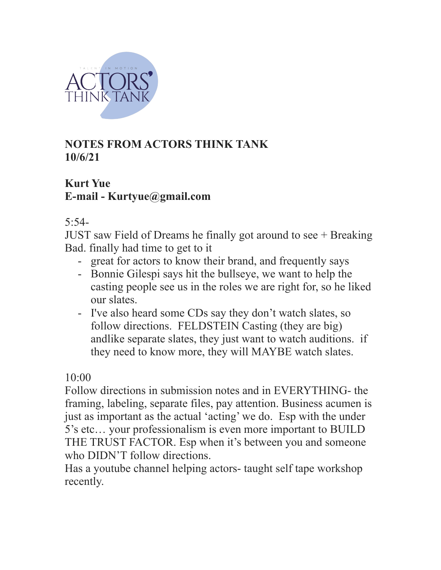

# **NOTES FROM ACTORS THINK TANK 10/6/21**

# **Kurt Yue E-mail - Kurtyue@gmail.com**

5:54-

JUST saw Field of Dreams he finally got around to see + Breaking Bad. finally had time to get to it

- great for actors to know their brand, and frequently says
- Bonnie Gilespi says hit the bullseye, we want to help the casting people see us in the roles we are right for, so he liked our slates.
- I've also heard some CDs say they don't watch slates, so follow directions. FELDSTEIN Casting (they are big) andlike separate slates, they just want to watch auditions. if they need to know more, they will MAYBE watch slates.

 $10 \cdot 00$ 

Follow directions in submission notes and in EVERYTHING- the framing, labeling, separate files, pay attention. Business acumen is just as important as the actual 'acting' we do. Esp with the under 5's etc… your professionalism is even more important to BUILD THE TRUST FACTOR. Esp when it's between you and someone who DIDN'T follow directions.

Has a youtube channel helping actors- taught self tape workshop recently.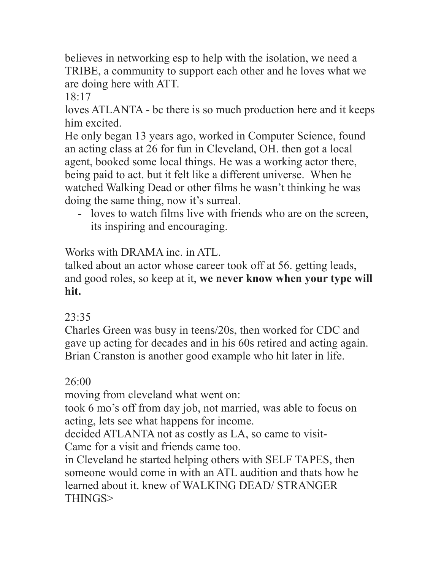believes in networking esp to help with the isolation, we need a TRIBE, a community to support each other and he loves what we are doing here with ATT.

 $18:17$ 

loves ATLANTA - bc there is so much production here and it keeps him excited.

He only began 13 years ago, worked in Computer Science, found an acting class at 26 for fun in Cleveland, OH. then got a local agent, booked some local things. He was a working actor there, being paid to act. but it felt like a different universe. When he watched Walking Dead or other films he wasn't thinking he was doing the same thing, now it's surreal.

- loves to watch films live with friends who are on the screen, its inspiring and encouraging.

Works with DRAMA inc. in ATL.

talked about an actor whose career took off at 56. getting leads, and good roles, so keep at it, **we never know when your type will hit.**

# $23.35$

Charles Green was busy in teens/20s, then worked for CDC and gave up acting for decades and in his 60s retired and acting again. Brian Cranston is another good example who hit later in life.

# $26:00$

moving from cleveland what went on:

took 6 mo's off from day job, not married, was able to focus on acting, lets see what happens for income.

decided ATLANTA not as costly as LA, so came to visit-Came for a visit and friends came too.

in Cleveland he started helping others with SELF TAPES, then someone would come in with an ATL audition and thats how he learned about it. knew of WALKING DEAD/ STRANGER THINGS>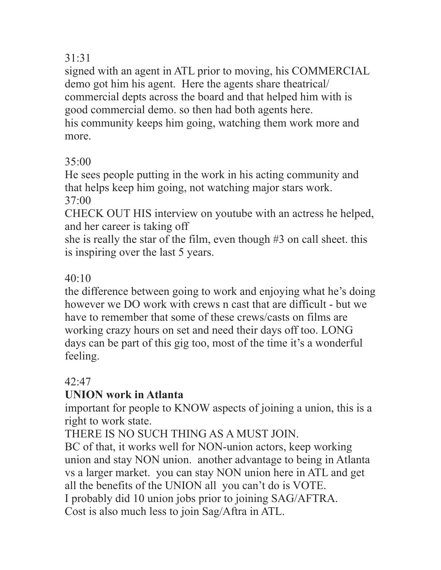## 31:31

signed with an agent in ATL prior to moving, his COMMERCIAL demo got him his agent. Here the agents share theatrical/ commercial depts across the board and that helped him with is good commercial demo. so then had both agents here. his community keeps him going, watching them work more and more.

# $35:00$

He sees people putting in the work in his acting community and that helps keep him going, not watching major stars work. 37:00

CHECK OUT HIS interview on youtube with an actress he helped, and her career is taking off

she is really the star of the film, even though #3 on call sheet. this is inspiring over the last 5 years.

# $40.10$

the difference between going to work and enjoying what he's doing however we DO work with crews n cast that are difficult - but we have to remember that some of these crews/casts on films are working crazy hours on set and need their days off too. LONG days can be part of this gig too, most of the time it's a wonderful feeling.

# $42.47$

# **UNION work in Atlanta**

important for people to KNOW aspects of joining a union, this is a right to work state.

THERE IS NO SUCH THING AS A MUST JOIN.

BC of that, it works well for NON-union actors, keep working union and stay NON union. another advantage to being in Atlanta vs a larger market. you can stay NON union here in ATL and get all the benefits of the UNION all you can't do is VOTE. I probably did 10 union jobs prior to joining SAG/AFTRA. Cost is also much less to join Sag/Aftra in ATL.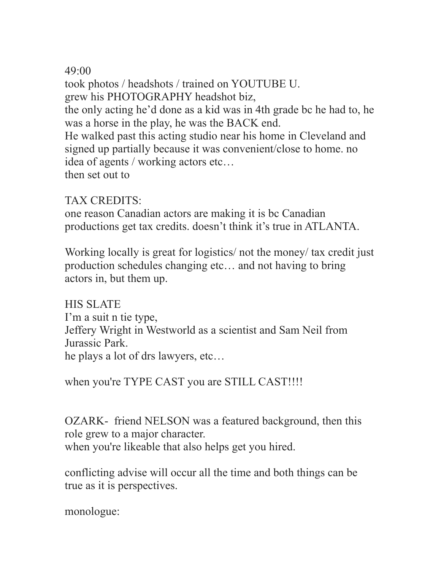## $49.00$

took photos / headshots / trained on YOUTUBE U. grew his PHOTOGRAPHY headshot biz, the only acting he'd done as a kid was in 4th grade bc he had to, he was a horse in the play, he was the BACK end. He walked past this acting studio near his home in Cleveland and signed up partially because it was convenient/close to home. no idea of agents / working actors etc… then set out to

## TAX CREDITS:

one reason Canadian actors are making it is bc Canadian productions get tax credits. doesn't think it's true in ATLANTA.

Working locally is great for logistics/ not the money/ tax credit just production schedules changing etc… and not having to bring actors in, but them up.

HIS SLATE I'm a suit n tie type, Jeffery Wright in Westworld as a scientist and Sam Neil from Jurassic Park. he plays a lot of drs lawyers, etc…

when you're TYPE CAST you are STILL CAST!!!!

OZARK- friend NELSON was a featured background, then this role grew to a major character. when you're likeable that also helps get you hired.

conflicting advise will occur all the time and both things can be true as it is perspectives.

monologue: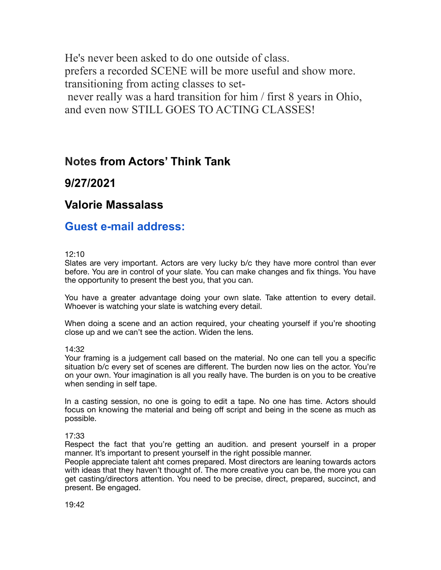He's never been asked to do one outside of class. prefers a recorded SCENE will be more useful and show more. transitioning from acting classes to set never really was a hard transition for him / first 8 years in Ohio, and even now STILL GOES TO ACTING CLASSES!

## **Notes from Actors' Think Tank**

## **9/27/2021**

## **Valorie Massalass**

## **Guest e-mail address:**

### 12:10

Slates are very important. Actors are very lucky b/c they have more control than ever before. You are in control of your slate. You can make changes and fix things. You have the opportunity to present the best you, that you can.

You have a greater advantage doing your own slate. Take attention to every detail. Whoever is watching your slate is watching every detail.

When doing a scene and an action required, your cheating yourself if you're shooting close up and we can't see the action. Widen the lens.

### 14:32

Your framing is a judgement call based on the material. No one can tell you a specific situation b/c every set of scenes are different. The burden now lies on the actor. You're on your own. Your imagination is all you really have. The burden is on you to be creative when sending in self tape.

In a casting session, no one is going to edit a tape. No one has time. Actors should focus on knowing the material and being off script and being in the scene as much as possible.

### 17:33

Respect the fact that you're getting an audition. and present yourself in a proper manner. It's important to present yourself in the right possible manner.

People appreciate talent aht comes prepared. Most directors are leaning towards actors with ideas that they haven't thought of. The more creative you can be, the more you can get casting/directors attention. You need to be precise, direct, prepared, succinct, and present. Be engaged.

19:42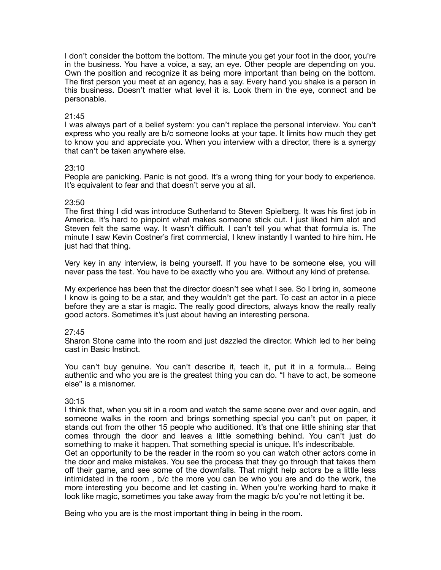I don't consider the bottom the bottom. The minute you get your foot in the door, you're in the business. You have a voice, a say, an eye. Other people are depending on you. Own the position and recognize it as being more important than being on the bottom. The first person you meet at an agency, has a say. Every hand you shake is a person in this business. Doesn't matter what level it is. Look them in the eye, connect and be personable.

### 21:45

I was always part of a belief system: you can't replace the personal interview. You can't express who you really are b/c someone looks at your tape. It limits how much they get to know you and appreciate you. When you interview with a director, there is a synergy that can't be taken anywhere else.

### 23:10

People are panicking. Panic is not good. It's a wrong thing for your body to experience. It's equivalent to fear and that doesn't serve you at all.

### 23:50

The first thing I did was introduce Sutherland to Steven Spielberg. It was his first job in America. It's hard to pinpoint what makes someone stick out. I just liked him alot and Steven felt the same way. It wasn't difficult. I can't tell you what that formula is. The minute I saw Kevin Costner's first commercial, I knew instantly I wanted to hire him. He just had that thing.

Very key in any interview, is being yourself. If you have to be someone else, you will never pass the test. You have to be exactly who you are. Without any kind of pretense.

My experience has been that the director doesn't see what I see. So I bring in, someone I know is going to be a star, and they wouldn't get the part. To cast an actor in a piece before they are a star is magic. The really good directors, always know the really really good actors. Sometimes it's just about having an interesting persona.

### 27:45

Sharon Stone came into the room and just dazzled the director. Which led to her being cast in Basic Instinct.

You can't buy genuine. You can't describe it, teach it, put it in a formula... Being authentic and who you are is the greatest thing you can do. "I have to act, be someone else" is a misnomer.

### 30:15

I think that, when you sit in a room and watch the same scene over and over again, and someone walks in the room and brings something special you can't put on paper, it stands out from the other 15 people who auditioned. It's that one little shining star that comes through the door and leaves a little something behind. You can't just do something to make it happen. That something special is unique. It's indescribable. Get an opportunity to be the reader in the room so you can watch other actors come in the door and make mistakes. You see the process that they go through that takes them off their game, and see some of the downfalls. That might help actors be a little less intimidated in the room , b/c the more you can be who you are and do the work, the more interesting you become and let casting in. When you're working hard to make it look like magic, sometimes you take away from the magic b/c you're not letting it be.

Being who you are is the most important thing in being in the room.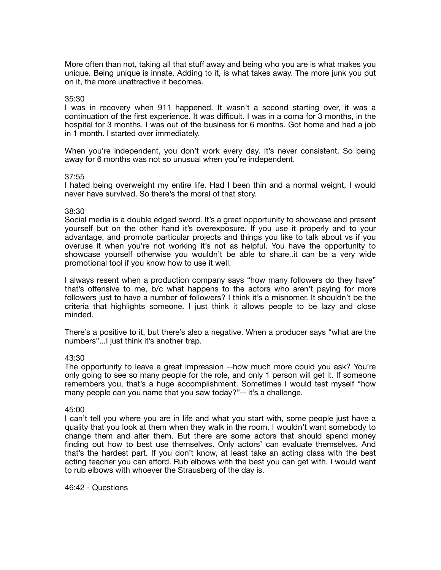More often than not, taking all that stuff away and being who you are is what makes you unique. Being unique is innate. Adding to it, is what takes away. The more junk you put on it, the more unattractive it becomes.

#### 35:30

I was in recovery when 911 happened. It wasn't a second starting over, it was a continuation of the first experience. It was difficult. I was in a coma for 3 months, in the hospital for 3 months. I was out of the business for 6 months. Got home and had a job in 1 month. I started over immediately.

When you're independent, you don't work every day. It's never consistent. So being away for 6 months was not so unusual when you're independent.

#### 37:55

I hated being overweight my entire life. Had I been thin and a normal weight, I would never have survived. So there's the moral of that story.

#### 38:30

Social media is a double edged sword. It's a great opportunity to showcase and present yourself but on the other hand it's overexposure. If you use it properly and to your advantage, and promote particular projects and things you like to talk about vs if you overuse it when you're not working it's not as helpful. You have the opportunity to showcase yourself otherwise you wouldn't be able to share..it can be a very wide promotional tool if you know how to use it well.

I always resent when a production company says "how many followers do they have" that's offensive to me, b/c what happens to the actors who aren't paying for more followers just to have a number of followers? I think it's a misnomer. It shouldn't be the criteria that highlights someone. I just think it allows people to be lazy and close minded.

There's a positive to it, but there's also a negative. When a producer says "what are the numbers"...I just think it's another trap.

#### 43:30

The opportunity to leave a great impression --how much more could you ask? You're only going to see so many people for the role, and only 1 person will get it. If someone remembers you, that's a huge accomplishment. Sometimes I would test myself "how many people can you name that you saw today?"-- it's a challenge.

#### 45:00

I can't tell you where you are in life and what you start with, some people just have a quality that you look at them when they walk in the room. I wouldn't want somebody to change them and alter them. But there are some actors that should spend money finding out how to best use themselves. Only actors' can evaluate themselves. And that's the hardest part. If you don't know, at least take an acting class with the best acting teacher you can afford. Rub elbows with the best you can get with. I would want to rub elbows with whoever the Strausberg of the day is.

46:42 - Questions